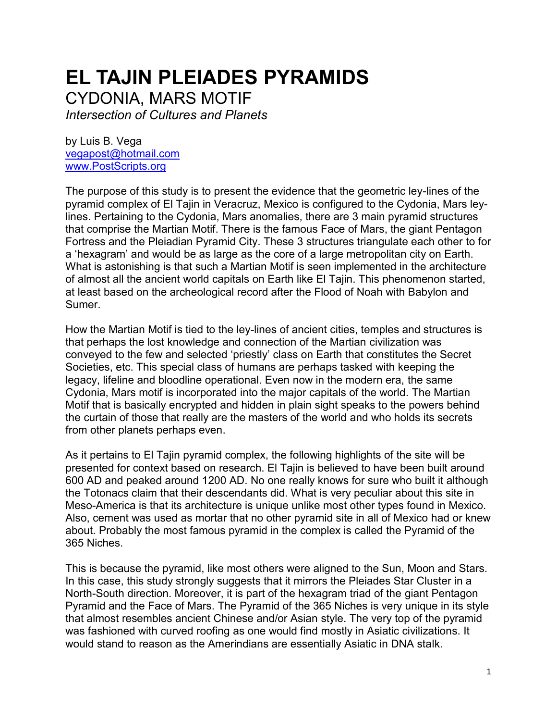## **EL TAJIN PLEIADES PYRAMIDS**

CYDONIA, MARS MOTIF

*Intersection of Cultures and Planets*

by Luis B. Vega [vegapost@hotmail.com](mailto:vegapost@hotmail.com) [www.PostScripts.org](http://www.postscripts.org/)

The purpose of this study is to present the evidence that the geometric ley-lines of the pyramid complex of El Tajin in Veracruz, Mexico is configured to the Cydonia, Mars leylines. Pertaining to the Cydonia, Mars anomalies, there are 3 main pyramid structures that comprise the Martian Motif. There is the famous Face of Mars, the giant Pentagon Fortress and the Pleiadian Pyramid City. These 3 structures triangulate each other to for a 'hexagram' and would be as large as the core of a large metropolitan city on Earth. What is astonishing is that such a Martian Motif is seen implemented in the architecture of almost all the ancient world capitals on Earth like El Tajin. This phenomenon started, at least based on the archeological record after the Flood of Noah with Babylon and Sumer.

How the Martian Motif is tied to the ley-lines of ancient cities, temples and structures is that perhaps the lost knowledge and connection of the Martian civilization was conveyed to the few and selected 'priestly' class on Earth that constitutes the Secret Societies, etc. This special class of humans are perhaps tasked with keeping the legacy, lifeline and bloodline operational. Even now in the modern era, the same Cydonia, Mars motif is incorporated into the major capitals of the world. The Martian Motif that is basically encrypted and hidden in plain sight speaks to the powers behind the curtain of those that really are the masters of the world and who holds its secrets from other planets perhaps even.

As it pertains to El Tajin pyramid complex, the following highlights of the site will be presented for context based on research. El Tajin is believed to have been built around 600 AD and peaked around 1200 AD. No one really knows for sure who built it although the Totonacs claim that their descendants did. What is very peculiar about this site in Meso-America is that its architecture is unique unlike most other types found in Mexico. Also, cement was used as mortar that no other pyramid site in all of Mexico had or knew about. Probably the most famous pyramid in the complex is called the Pyramid of the 365 Niches.

This is because the pyramid, like most others were aligned to the Sun, Moon and Stars. In this case, this study strongly suggests that it mirrors the Pleiades Star Cluster in a North-South direction. Moreover, it is part of the hexagram triad of the giant Pentagon Pyramid and the Face of Mars. The Pyramid of the 365 Niches is very unique in its style that almost resembles ancient Chinese and/or Asian style. The very top of the pyramid was fashioned with curved roofing as one would find mostly in Asiatic civilizations. It would stand to reason as the Amerindians are essentially Asiatic in DNA stalk.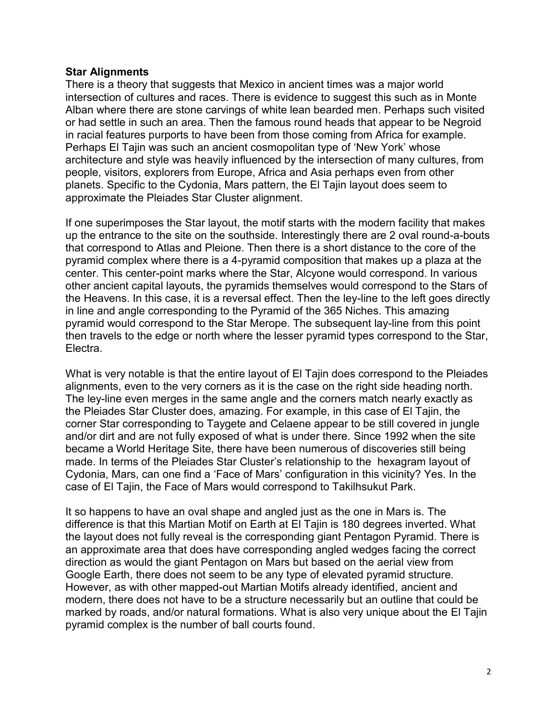## **Star Alignments**

There is a theory that suggests that Mexico in ancient times was a major world intersection of cultures and races. There is evidence to suggest this such as in Monte Alban where there are stone carvings of white lean bearded men. Perhaps such visited or had settle in such an area. Then the famous round heads that appear to be Negroid in racial features purports to have been from those coming from Africa for example. Perhaps El Tajin was such an ancient cosmopolitan type of 'New York' whose architecture and style was heavily influenced by the intersection of many cultures, from people, visitors, explorers from Europe, Africa and Asia perhaps even from other planets. Specific to the Cydonia, Mars pattern, the El Tajin layout does seem to approximate the Pleiades Star Cluster alignment.

If one superimposes the Star layout, the motif starts with the modern facility that makes up the entrance to the site on the southside. Interestingly there are 2 oval round-a-bouts that correspond to Atlas and Pleione. Then there is a short distance to the core of the pyramid complex where there is a 4-pyramid composition that makes up a plaza at the center. This center-point marks where the Star, Alcyone would correspond. In various other ancient capital layouts, the pyramids themselves would correspond to the Stars of the Heavens. In this case, it is a reversal effect. Then the ley-line to the left goes directly in line and angle corresponding to the Pyramid of the 365 Niches. This amazing pyramid would correspond to the Star Merope. The subsequent lay-line from this point then travels to the edge or north where the lesser pyramid types correspond to the Star, Electra.

What is very notable is that the entire layout of El Tajin does correspond to the Pleiades alignments, even to the very corners as it is the case on the right side heading north. The ley-line even merges in the same angle and the corners match nearly exactly as the Pleiades Star Cluster does, amazing. For example, in this case of El Tajin, the corner Star corresponding to Taygete and Celaene appear to be still covered in jungle and/or dirt and are not fully exposed of what is under there. Since 1992 when the site became a World Heritage Site, there have been numerous of discoveries still being made. In terms of the Pleiades Star Cluster's relationship to the hexagram layout of Cydonia, Mars, can one find a 'Face of Mars' configuration in this vicinity? Yes. In the case of El Tajin, the Face of Mars would correspond to Takilhsukut Park.

It so happens to have an oval shape and angled just as the one in Mars is. The difference is that this Martian Motif on Earth at El Tajin is 180 degrees inverted. What the layout does not fully reveal is the corresponding giant Pentagon Pyramid. There is an approximate area that does have corresponding angled wedges facing the correct direction as would the giant Pentagon on Mars but based on the aerial view from Google Earth, there does not seem to be any type of elevated pyramid structure. However, as with other mapped-out Martian Motifs already identified, ancient and modern, there does not have to be a structure necessarily but an outline that could be marked by roads, and/or natural formations. What is also very unique about the El Tajin pyramid complex is the number of ball courts found.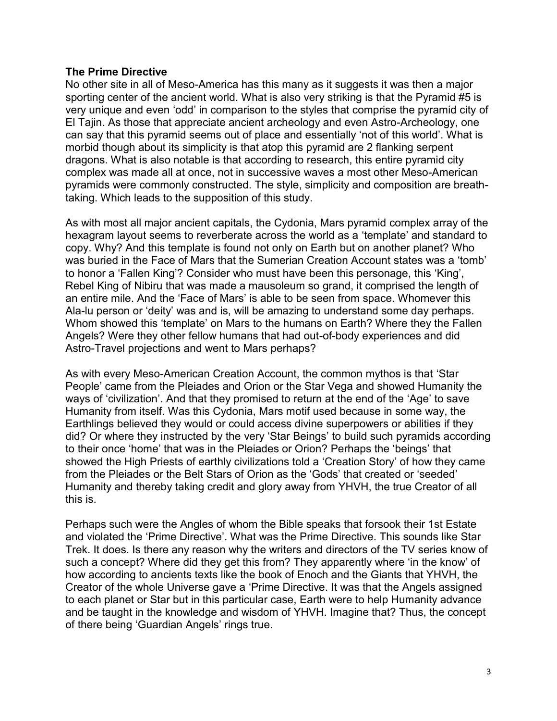## **The Prime Directive**

No other site in all of Meso-America has this many as it suggests it was then a major sporting center of the ancient world. What is also very striking is that the Pyramid #5 is very unique and even 'odd' in comparison to the styles that comprise the pyramid city of El Tajin. As those that appreciate ancient archeology and even Astro-Archeology, one can say that this pyramid seems out of place and essentially 'not of this world'. What is morbid though about its simplicity is that atop this pyramid are 2 flanking serpent dragons. What is also notable is that according to research, this entire pyramid city complex was made all at once, not in successive waves a most other Meso-American pyramids were commonly constructed. The style, simplicity and composition are breathtaking. Which leads to the supposition of this study.

As with most all major ancient capitals, the Cydonia, Mars pyramid complex array of the hexagram layout seems to reverberate across the world as a 'template' and standard to copy. Why? And this template is found not only on Earth but on another planet? Who was buried in the Face of Mars that the Sumerian Creation Account states was a 'tomb' to honor a 'Fallen King'? Consider who must have been this personage, this 'King', Rebel King of Nibiru that was made a mausoleum so grand, it comprised the length of an entire mile. And the 'Face of Mars' is able to be seen from space. Whomever this Ala-lu person or 'deity' was and is, will be amazing to understand some day perhaps. Whom showed this 'template' on Mars to the humans on Earth? Where they the Fallen Angels? Were they other fellow humans that had out-of-body experiences and did Astro-Travel projections and went to Mars perhaps?

As with every Meso-American Creation Account, the common mythos is that 'Star People' came from the Pleiades and Orion or the Star Vega and showed Humanity the ways of 'civilization'. And that they promised to return at the end of the 'Age' to save Humanity from itself. Was this Cydonia, Mars motif used because in some way, the Earthlings believed they would or could access divine superpowers or abilities if they did? Or where they instructed by the very 'Star Beings' to build such pyramids according to their once 'home' that was in the Pleiades or Orion? Perhaps the 'beings' that showed the High Priests of earthly civilizations told a 'Creation Story' of how they came from the Pleiades or the Belt Stars of Orion as the 'Gods' that created or 'seeded' Humanity and thereby taking credit and glory away from YHVH, the true Creator of all this is.

Perhaps such were the Angles of whom the Bible speaks that forsook their 1st Estate and violated the 'Prime Directive'. What was the Prime Directive. This sounds like Star Trek. It does. Is there any reason why the writers and directors of the TV series know of such a concept? Where did they get this from? They apparently where 'in the know' of how according to ancients texts like the book of Enoch and the Giants that YHVH, the Creator of the whole Universe gave a 'Prime Directive. It was that the Angels assigned to each planet or Star but in this particular case, Earth were to help Humanity advance and be taught in the knowledge and wisdom of YHVH. Imagine that? Thus, the concept of there being 'Guardian Angels' rings true.